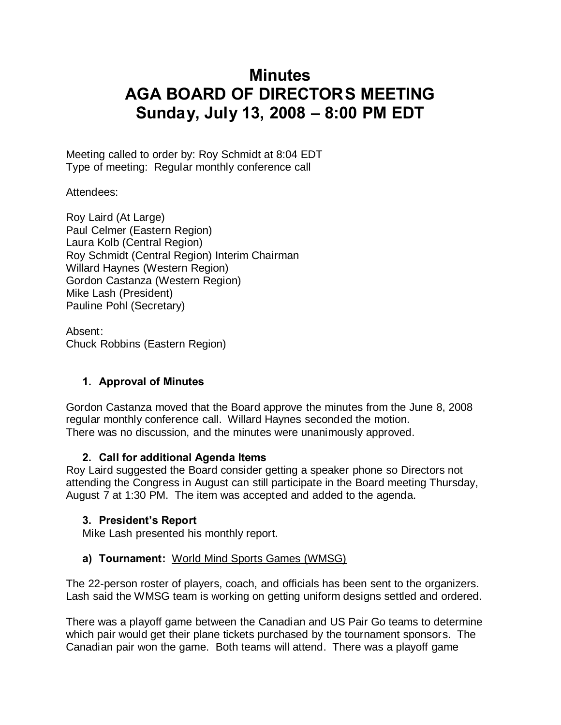# **Minutes AGA BOARD OF DIRECTORS MEETING Sunday, July 13, 2008 – 8:00 PM EDT**

Meeting called to order by: Roy Schmidt at 8:04 EDT Type of meeting: Regular monthly conference call

Attendees:

Roy Laird (At Large) Paul Celmer (Eastern Region) Laura Kolb (Central Region) Roy Schmidt (Central Region) Interim Chairman Willard Haynes (Western Region) Gordon Castanza (Western Region) Mike Lash (President) Pauline Pohl (Secretary)

Absent: Chuck Robbins (Eastern Region)

## **1. Approval of Minutes**

Gordon Castanza moved that the Board approve the minutes from the June 8, 2008 regular monthly conference call. Willard Haynes seconded the motion. There was no discussion, and the minutes were unanimously approved.

#### **2. Call for additional Agenda Items**

Roy Laird suggested the Board consider getting a speaker phone so Directors not attending the Congress in August can still participate in the Board meeting Thursday, August 7 at 1:30 PM. The item was accepted and added to the agenda.

## **3. President's Report**

Mike Lash presented his monthly report.

## **a) Tournament:** World Mind Sports Games (WMSG)

The 22-person roster of players, coach, and officials has been sent to the organizers. Lash said the WMSG team is working on getting uniform designs settled and ordered.

There was a playoff game between the Canadian and US Pair Go teams to determine which pair would get their plane tickets purchased by the tournament sponsors. The Canadian pair won the game. Both teams will attend. There was a playoff game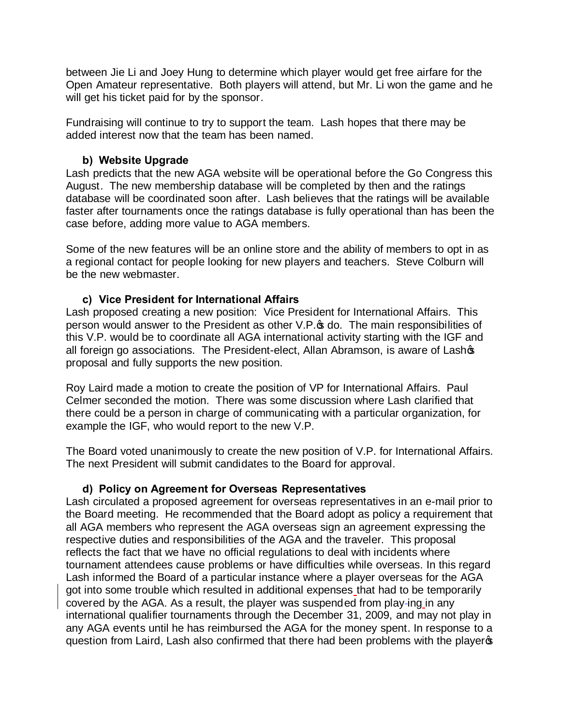between Jie Li and Joey Hung to determine which player would get free airfare for the Open Amateur representative. Both players will attend, but Mr. Li won the game and he will get his ticket paid for by the sponsor.

Fundraising will continue to try to support the team. Lash hopes that there may be added interest now that the team has been named.

## **b) Website Upgrade**

Lash predicts that the new AGA website will be operational before the Go Congress this August. The new membership database will be completed by then and the ratings database will be coordinated soon after. Lash believes that the ratings will be available faster after tournaments once the ratings database is fully operational than has been the case before, adding more value to AGA members.

Some of the new features will be an online store and the ability of members to opt in as a regional contact for people looking for new players and teachers. Steve Colburn will be the new webmaster.

#### **c) Vice President for International Affairs**

Lash proposed creating a new position: Vice President for International Affairs. This person would answer to the President as other V.P. of do. The main responsibilities of this V.P. would be to coordinate all AGA international activity starting with the IGF and all foreign go associations. The President-elect, Allan Abramson, is aware of Lashop proposal and fully supports the new position.

Roy Laird made a motion to create the position of VP for International Affairs. Paul Celmer seconded the motion. There was some discussion where Lash clarified that there could be a person in charge of communicating with a particular organization, for example the IGF, who would report to the new V.P.

The Board voted unanimously to create the new position of V.P. for International Affairs. The next President will submit candidates to the Board for approval.

## **d) Policy on Agreement for Overseas Representatives**

Lash circulated a proposed agreement for overseas representatives in an e-mail prior to the Board meeting. He recommended that the Board adopt as policy a requirement that all AGA members who represent the AGA overseas sign an agreement expressing the respective duties and responsibilities of the AGA and the traveler. This proposal reflects the fact that we have no official regulations to deal with incidents where tournament attendees cause problems or have difficulties while overseas. In this regard Lash informed the Board of a particular instance where a player overseas for the AGA got into some trouble which resulted in additional expenses that had to be temporarily covered by the AGA. As a result, the player was suspended from play-ing in any international qualifier tournaments through the December 31, 2009, and may not play in any AGA events until he has reimbursed the AGA for the money spent. In response to a question from Laird, Lash also confirmed that there had been problems with the players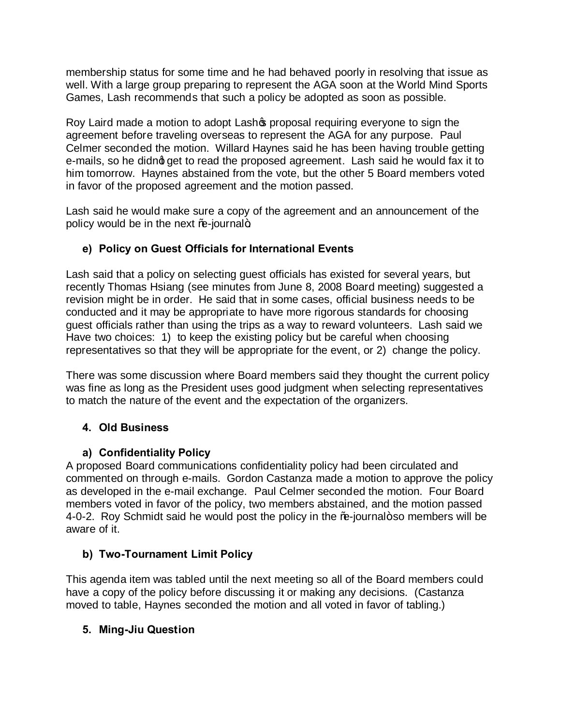membership status for some time and he had behaved poorly in resolving that issue as well. With a large group preparing to represent the AGA soon at the World Mind Sports Games, Lash recommends that such a policy be adopted as soon as possible.

Roy Laird made a motion to adopt Lasho proposal requiring everyone to sign the agreement before traveling overseas to represent the AGA for any purpose. Paul Celmer seconded the motion. Willard Haynes said he has been having trouble getting e-mails, so he didno get to read the proposed agreement. Lash said he would fax it to him tomorrow. Haynes abstained from the vote, but the other 5 Board members voted in favor of the proposed agreement and the motion passed.

Lash said he would make sure a copy of the agreement and an announcement of the policy would be in the next  $%$ -journal +

# **e) Policy on Guest Officials for International Events**

Lash said that a policy on selecting guest officials has existed for several years, but recently Thomas Hsiang (see minutes from June 8, 2008 Board meeting) suggested a revision might be in order. He said that in some cases, official business needs to be conducted and it may be appropriate to have more rigorous standards for choosing guest officials rather than using the trips as a way to reward volunteers. Lash said we Have two choices: 1) to keep the existing policy but be careful when choosing representatives so that they will be appropriate for the event, or 2) change the policy.

There was some discussion where Board members said they thought the current policy was fine as long as the President uses good judgment when selecting representatives to match the nature of the event and the expectation of the organizers.

## **4. Old Business**

## **a) Confidentiality Policy**

A proposed Board communications confidentiality policy had been circulated and commented on through e-mails. Gordon Castanza made a motion to approve the policy as developed in the e-mail exchange. Paul Celmer seconded the motion. Four Board members voted in favor of the policy, two members abstained, and the motion passed 4-0-2. Roy Schmidt said he would post the policy in the %-journal+so members will be aware of it.

# **b) Two-Tournament Limit Policy**

This agenda item was tabled until the next meeting so all of the Board members could have a copy of the policy before discussing it or making any decisions. (Castanza moved to table, Haynes seconded the motion and all voted in favor of tabling.)

## **5. Ming-Jiu Question**